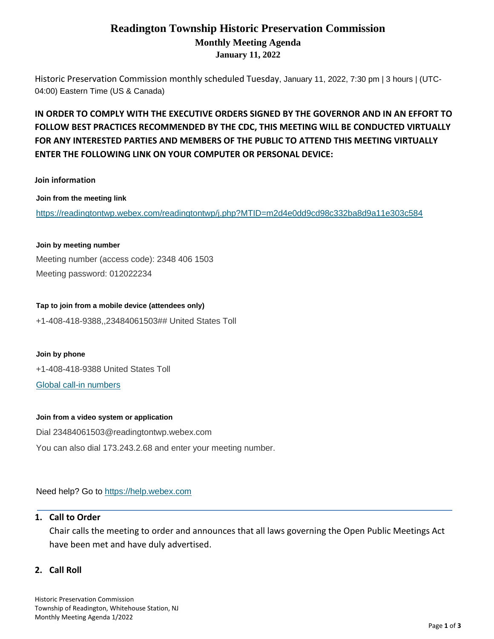## **Readington Township Historic Preservation Commission Monthly Meeting Agenda January 11, 2022**

Historic Preservation Commission monthly scheduled Tuesday, January 11, 2022, 7:30 pm | 3 hours | (UTC-04:00) Eastern Time (US & Canada)

## **IN ORDER TO COMPLY WITH THE EXECUTIVE ORDERS SIGNED BY THE GOVERNOR AND IN AN EFFORT TO FOLLOW BEST PRACTICES RECOMMENDED BY THE CDC, THIS MEETING WILL BE CONDUCTED VIRTUALLY FOR ANY INTERESTED PARTIES AND MEMBERS OF THE PUBLIC TO ATTEND THIS MEETING VIRTUALLY ENTER THE FOLLOWING LINK ON YOUR COMPUTER OR PERSONAL DEVICE:**

#### **Join information**

**Join from the meeting link**

<https://readingtontwp.webex.com/readingtontwp/j.php?MTID=m2d4e0dd9cd98c332ba8d9a11e303c584>

## **Join by meeting number** Meeting number (access code): 2348 406 1503 Meeting password: 012022234

**Tap to join from a mobile device (attendees only)** +1-408-418-9388,,23484061503## United States Toll

# **Join by phone** +1-408-418-9388 United States Toll [Global call-in numbers](https://readingtontwp.webex.com/readingtontwp/globalcallin.php?MTID=m1e0f82a123bafc08e57240f49a2aae90)

#### **Join from a video system or application**

Dial 23484061503@readingtontwp.webex.com You can also dial 173.243.2.68 and enter your meeting number.

Need help? Go to [https://help.webex.com](https://help.webex.com/)

#### **1. Call to Order**

Chair calls the meeting to order and announces that all laws governing the Open Public Meetings Act have been met and have duly advertised.

#### **2. Call Roll**

Historic Preservation Commission Township of Readington, Whitehouse Station, NJ Monthly Meeting Agenda 1/2022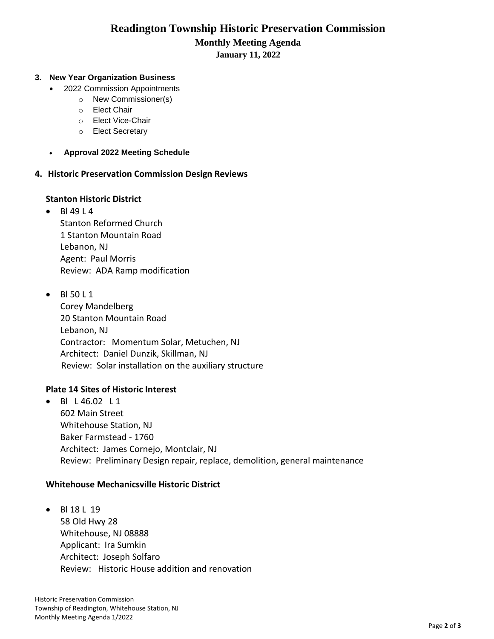# **Readington Township Historic Preservation Commission Monthly Meeting Agenda**

#### **January 11, 2022**

#### **3. New Year Organization Business**

- 2022 Commission Appointments
	- o New Commissioner(s)
	- o Elect Chair
	- o Elect Vice-Chair
	- o Elect Secretary
- **Approval 2022 Meeting Schedule**
- **4. Historic Preservation Commission Design Reviews**

#### **Stanton Historic District**

- $B14914$ Stanton Reformed Church 1 Stanton Mountain Road Lebanon, NJ Agent: Paul Morris Review: ADA Ramp modification
- Bl 50 L 1 Corey Mandelberg 20 Stanton Mountain Road Lebanon, NJ Contractor: Momentum Solar, Metuchen, NJ Architect: Daniel Dunzik, Skillman, NJ Review: Solar installation on the auxiliary structure

#### **Plate 14 Sites of Historic Interest**

• BI L 46.02 L 1 602 Main Street Whitehouse Station, NJ Baker Farmstead - 1760 Architect: James Cornejo, Montclair, NJ Review: Preliminary Design repair, replace, demolition, general maintenance

#### **Whitehouse Mechanicsville Historic District**

• Bl 18 L 19 58 Old Hwy 28 Whitehouse, NJ 08888 Applicant: Ira Sumkin Architect: Joseph Solfaro Review: Historic House addition and renovation